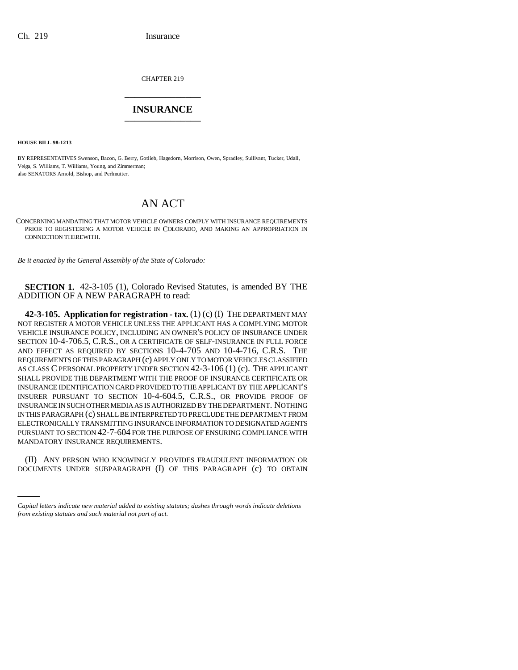CHAPTER 219 \_\_\_\_\_\_\_\_\_\_\_\_\_\_\_

## **INSURANCE** \_\_\_\_\_\_\_\_\_\_\_\_\_\_\_

**HOUSE BILL 98-1213**

BY REPRESENTATIVES Swenson, Bacon, G. Berry, Gotlieb, Hagedorn, Morrison, Owen, Spradley, Sullivant, Tucker, Udall, Veiga, S. Williams, T. Williams, Young, and Zimmerman; also SENATORS Arnold, Bishop, and Perlmutter.

## AN ACT

CONCERNING MANDATING THAT MOTOR VEHICLE OWNERS COMPLY WITH INSURANCE REQUIREMENTS PRIOR TO REGISTERING A MOTOR VEHICLE IN COLORADO, AND MAKING AN APPROPRIATION IN CONNECTION THEREWITH.

*Be it enacted by the General Assembly of the State of Colorado:*

**SECTION 1.** 42-3-105 (1), Colorado Revised Statutes, is amended BY THE ADDITION OF A NEW PARAGRAPH to read:

**42-3-105. Application for registration - tax.** (1) (c) (I) THE DEPARTMENT MAY NOT REGISTER A MOTOR VEHICLE UNLESS THE APPLICANT HAS A COMPLYING MOTOR VEHICLE INSURANCE POLICY, INCLUDING AN OWNER'S POLICY OF INSURANCE UNDER SECTION 10-4-706.5, C.R.S., OR A CERTIFICATE OF SELF-INSURANCE IN FULL FORCE AND EFFECT AS REQUIRED BY SECTIONS 10-4-705 AND 10-4-716, C.R.S. THE REQUIREMENTS OF THIS PARAGRAPH (c) APPLY ONLY TO MOTOR VEHICLES CLASSIFIED AS CLASS C PERSONAL PROPERTY UNDER SECTION 42-3-106 (1) (c). THE APPLICANT SHALL PROVIDE THE DEPARTMENT WITH THE PROOF OF INSURANCE CERTIFICATE OR INSURANCE IDENTIFICATION CARD PROVIDED TO THE APPLICANT BY THE APPLICANT'S INSURER PURSUANT TO SECTION 10-4-604.5, C.R.S., OR PROVIDE PROOF OF INSURANCE IN SUCH OTHER MEDIA AS IS AUTHORIZED BY THE DEPARTMENT. NOTHING IN THIS PARAGRAPH (c) SHALL BE INTERPRETED TO PRECLUDE THE DEPARTMENT FROM ELECTRONICALLY TRANSMITTING INSURANCE INFORMATION TO DESIGNATED AGENTS PURSUANT TO SECTION 42-7-604 FOR THE PURPOSE OF ENSURING COMPLIANCE WITH MANDATORY INSURANCE REQUIREMENTS.

(II) ANY PERSON WHO KNOWINGLY PROVIDES FRAUDULENT INFORMATION OR DOCUMENTS UNDER SUBPARAGRAPH (I) OF THIS PARAGRAPH (c) TO OBTAIN

*Capital letters indicate new material added to existing statutes; dashes through words indicate deletions from existing statutes and such material not part of act.*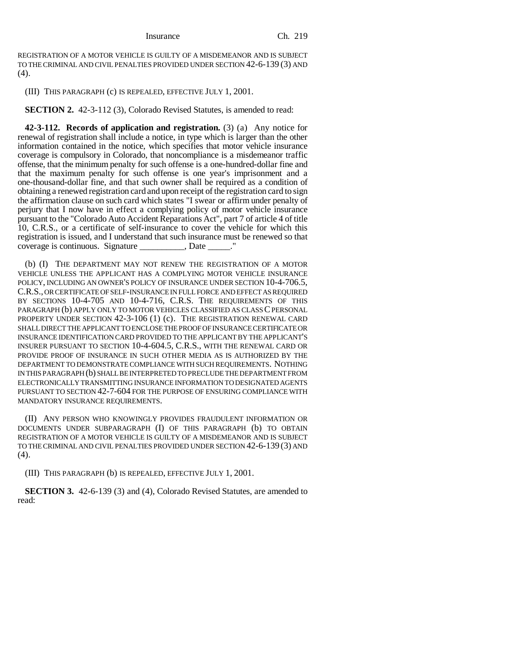REGISTRATION OF A MOTOR VEHICLE IS GUILTY OF A MISDEMEANOR AND IS SUBJECT TO THE CRIMINAL AND CIVIL PENALTIES PROVIDED UNDER SECTION 42-6-139 (3) AND (4).

(III) THIS PARAGRAPH (c) IS REPEALED, EFFECTIVE JULY 1, 2001.

**SECTION 2.** 42-3-112 (3), Colorado Revised Statutes, is amended to read:

**42-3-112. Records of application and registration.** (3) (a) Any notice for renewal of registration shall include a notice, in type which is larger than the other information contained in the notice, which specifies that motor vehicle insurance coverage is compulsory in Colorado, that noncompliance is a misdemeanor traffic offense, that the minimum penalty for such offense is a one-hundred-dollar fine and that the maximum penalty for such offense is one year's imprisonment and a one-thousand-dollar fine, and that such owner shall be required as a condition of obtaining a renewed registration card and upon receipt of the registration card to sign the affirmation clause on such card which states "I swear or affirm under penalty of perjury that I now have in effect a complying policy of motor vehicle insurance pursuant to the "Colorado Auto Accident Reparations Act", part 7 of article 4 of title 10, C.R.S., or a certificate of self-insurance to cover the vehicle for which this registration is issued, and I understand that such insurance must be renewed so that coverage is continuous. Signature \_\_\_\_\_\_\_\_\_\_, Date \_\_\_\_\_."

(b) (I) THE DEPARTMENT MAY NOT RENEW THE REGISTRATION OF A MOTOR VEHICLE UNLESS THE APPLICANT HAS A COMPLYING MOTOR VEHICLE INSURANCE POLICY, INCLUDING AN OWNER'S POLICY OF INSURANCE UNDER SECTION 10-4-706.5, C.R.S., OR CERTIFICATE OF SELF-INSURANCE IN FULL FORCE AND EFFECT AS REQUIRED BY SECTIONS 10-4-705 AND 10-4-716, C.R.S. THE REQUIREMENTS OF THIS PARAGRAPH (b) APPLY ONLY TO MOTOR VEHICLES CLASSIFIED AS CLASS C PERSONAL PROPERTY UNDER SECTION 42-3-106 (1) (c). THE REGISTRATION RENEWAL CARD SHALL DIRECT THE APPLICANT TO ENCLOSE THE PROOF OF INSURANCE CERTIFICATE OR INSURANCE IDENTIFICATION CARD PROVIDED TO THE APPLICANT BY THE APPLICANT'S INSURER PURSUANT TO SECTION 10-4-604.5, C.R.S., WITH THE RENEWAL CARD OR PROVIDE PROOF OF INSURANCE IN SUCH OTHER MEDIA AS IS AUTHORIZED BY THE DEPARTMENT TO DEMONSTRATE COMPLIANCE WITH SUCH REQUIREMENTS. NOTHING IN THIS PARAGRAPH (b) SHALL BE INTERPRETED TO PRECLUDE THE DEPARTMENT FROM ELECTRONICALLY TRANSMITTING INSURANCE INFORMATION TO DESIGNATED AGENTS PURSUANT TO SECTION 42-7-604 FOR THE PURPOSE OF ENSURING COMPLIANCE WITH MANDATORY INSURANCE REQUIREMENTS.

(II) ANY PERSON WHO KNOWINGLY PROVIDES FRAUDULENT INFORMATION OR DOCUMENTS UNDER SUBPARAGRAPH (I) OF THIS PARAGRAPH (b) TO OBTAIN REGISTRATION OF A MOTOR VEHICLE IS GUILTY OF A MISDEMEANOR AND IS SUBJECT TO THE CRIMINAL AND CIVIL PENALTIES PROVIDED UNDER SECTION 42-6-139 (3) AND (4).

(III) THIS PARAGRAPH (b) IS REPEALED, EFFECTIVE JULY 1, 2001.

**SECTION 3.** 42-6-139 (3) and (4), Colorado Revised Statutes, are amended to read: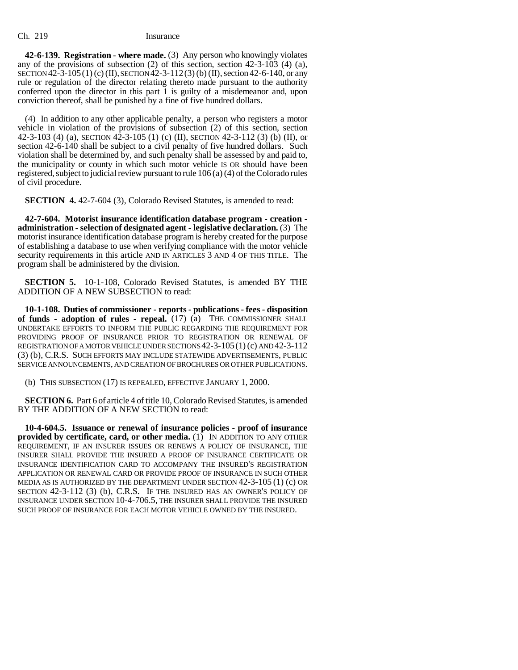## Ch. 219 Insurance

**42-6-139. Registration - where made.** (3) Any person who knowingly violates any of the provisions of subsection (2) of this section, section 42-3-103 (4) (a), SECTION  $42-3-105(1)$  (c) (II), SECTION  $42-3-112(3)$  (b) (II), section  $42-6-140$ , or any rule or regulation of the director relating thereto made pursuant to the authority conferred upon the director in this part 1 is guilty of a misdemeanor and, upon conviction thereof, shall be punished by a fine of five hundred dollars.

(4) In addition to any other applicable penalty, a person who registers a motor vehicle in violation of the provisions of subsection (2) of this section, section 42-3-103 (4) (a), SECTION 42-3-105 (1) (c) (II), SECTION 42-3-112 (3) (b) (II), or section 42-6-140 shall be subject to a civil penalty of five hundred dollars. Such violation shall be determined by, and such penalty shall be assessed by and paid to, the municipality or county in which such motor vehicle IS OR should have been registered, subject to judicial review pursuant to rule 106 (a) (4) of the Colorado rules of civil procedure.

**SECTION 4.** 42-7-604 (3), Colorado Revised Statutes, is amended to read:

**42-7-604. Motorist insurance identification database program - creation administration - selection of designated agent - legislative declaration.** (3) The motorist insurance identification database program is hereby created for the purpose of establishing a database to use when verifying compliance with the motor vehicle security requirements in this article AND IN ARTICLES 3 AND 4 OF THIS TITLE. The program shall be administered by the division.

**SECTION 5.** 10-1-108, Colorado Revised Statutes, is amended BY THE ADDITION OF A NEW SUBSECTION to read:

**10-1-108. Duties of commissioner - reports - publications - fees - disposition of funds - adoption of rules - repeal.** (17) (a) THE COMMISSIONER SHALL UNDERTAKE EFFORTS TO INFORM THE PUBLIC REGARDING THE REQUIREMENT FOR PROVIDING PROOF OF INSURANCE PRIOR TO REGISTRATION OR RENEWAL OF REGISTRATION OF A MOTOR VEHICLE UNDER SECTIONS 42-3-105(1) (c) AND 42-3-112 (3) (b), C.R.S. SUCH EFFORTS MAY INCLUDE STATEWIDE ADVERTISEMENTS, PUBLIC SERVICE ANNOUNCEMENTS, AND CREATION OF BROCHURES OR OTHER PUBLICATIONS.

(b) THIS SUBSECTION (17) IS REPEALED, EFFECTIVE JANUARY 1, 2000.

**SECTION 6.** Part 6 of article 4 of title 10, Colorado Revised Statutes, is amended BY THE ADDITION OF A NEW SECTION to read:

**10-4-604.5. Issuance or renewal of insurance policies - proof of insurance provided by certificate, card, or other media.** (1) IN ADDITION TO ANY OTHER REQUIREMENT, IF AN INSURER ISSUES OR RENEWS A POLICY OF INSURANCE, THE INSURER SHALL PROVIDE THE INSURED A PROOF OF INSURANCE CERTIFICATE OR INSURANCE IDENTIFICATION CARD TO ACCOMPANY THE INSURED'S REGISTRATION APPLICATION OR RENEWAL CARD OR PROVIDE PROOF OF INSURANCE IN SUCH OTHER MEDIA AS IS AUTHORIZED BY THE DEPARTMENT UNDER SECTION 42-3-105 (1) (c) OR SECTION 42-3-112 (3) (b), C.R.S. IF THE INSURED HAS AN OWNER'S POLICY OF INSURANCE UNDER SECTION 10-4-706.5, THE INSURER SHALL PROVIDE THE INSURED SUCH PROOF OF INSURANCE FOR EACH MOTOR VEHICLE OWNED BY THE INSURED.